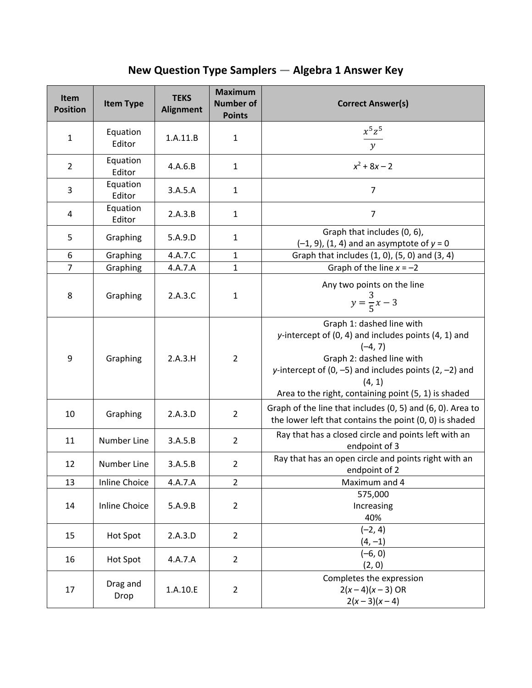**New Question Type Samplers — Algebra 1 Answer Key**

| Item<br><b>Position</b> | <b>Item Type</b>     | <b>TEKS</b><br><b>Alignment</b> | <b>Maximum</b><br><b>Number of</b><br><b>Points</b> | <b>Correct Answer(s)</b>                                                                                                                                                                                                                                        |
|-------------------------|----------------------|---------------------------------|-----------------------------------------------------|-----------------------------------------------------------------------------------------------------------------------------------------------------------------------------------------------------------------------------------------------------------------|
| $\mathbf{1}$            | Equation<br>Editor   | 1.A.11.B                        | $\mathbf{1}$                                        | $\frac{x^5z^5}{y}$                                                                                                                                                                                                                                              |
| $\overline{2}$          | Equation<br>Editor   | 4.A.6.B                         | $\mathbf{1}$                                        | $x^2$ + 8x – 2                                                                                                                                                                                                                                                  |
| 3                       | Equation<br>Editor   | 3.A.5.A                         | $\mathbf{1}$                                        | $\overline{7}$                                                                                                                                                                                                                                                  |
| 4                       | Equation<br>Editor   | 2.A.3.B                         | $\mathbf{1}$                                        | $\overline{7}$                                                                                                                                                                                                                                                  |
| 5                       | Graphing             | 5.A.9.D                         | $\mathbf{1}$                                        | Graph that includes (0, 6),<br>$(-1, 9)$ , $(1, 4)$ and an asymptote of $y = 0$                                                                                                                                                                                 |
| 6                       | Graphing             | 4.A.7.C                         | $\mathbf{1}$                                        | Graph that includes (1, 0), (5, 0) and (3, 4)                                                                                                                                                                                                                   |
| $\overline{7}$          | Graphing             | 4.A.7.A                         | $\mathbf{1}$                                        | Graph of the line $x = -2$                                                                                                                                                                                                                                      |
| 8                       | Graphing             | 2.A.3.C                         | $\mathbf 1$                                         | Any two points on the line<br>$y = \frac{3}{5}x - 3$                                                                                                                                                                                                            |
| 9                       | Graphing             | 2.A.3.H                         | $\overline{2}$                                      | Graph 1: dashed line with<br>y-intercept of $(0, 4)$ and includes points $(4, 1)$ and<br>$(-4, 7)$<br>Graph 2: dashed line with<br>y-intercept of $(0, -5)$ and includes points $(2, -2)$ and<br>(4, 1)<br>Area to the right, containing point (5, 1) is shaded |
| 10                      | Graphing             | 2.A.3.D                         | $\overline{2}$                                      | Graph of the line that includes (0, 5) and (6, 0). Area to<br>the lower left that contains the point (0, 0) is shaded                                                                                                                                           |
| 11                      | Number Line          | 3.A.5.B                         | $\overline{2}$                                      | Ray that has a closed circle and points left with an<br>endpoint of 3                                                                                                                                                                                           |
| 12                      | Number Line          | 3.A.5.B                         | $\overline{2}$                                      | Ray that has an open circle and points right with an<br>endpoint of 2                                                                                                                                                                                           |
| 13                      | <b>Inline Choice</b> | 4.A.7.A                         | $\overline{2}$                                      | Maximum and 4                                                                                                                                                                                                                                                   |
| 14                      | <b>Inline Choice</b> | 5.A.9.B                         | $\overline{2}$                                      | 575,000<br>Increasing<br>40%                                                                                                                                                                                                                                    |
| 15                      | <b>Hot Spot</b>      | 2.A.3.D                         | $\overline{2}$                                      | $(-2, 4)$<br>$(4, -1)$                                                                                                                                                                                                                                          |
| 16                      | Hot Spot             | 4.A.7.A                         | $\overline{2}$                                      | $(-6, 0)$<br>(2, 0)                                                                                                                                                                                                                                             |
| 17                      | Drag and<br>Drop     | 1.A.10.E                        | $\overline{2}$                                      | Completes the expression<br>$2(x-4)(x-3)$ OR<br>$2(x-3)(x-4)$                                                                                                                                                                                                   |